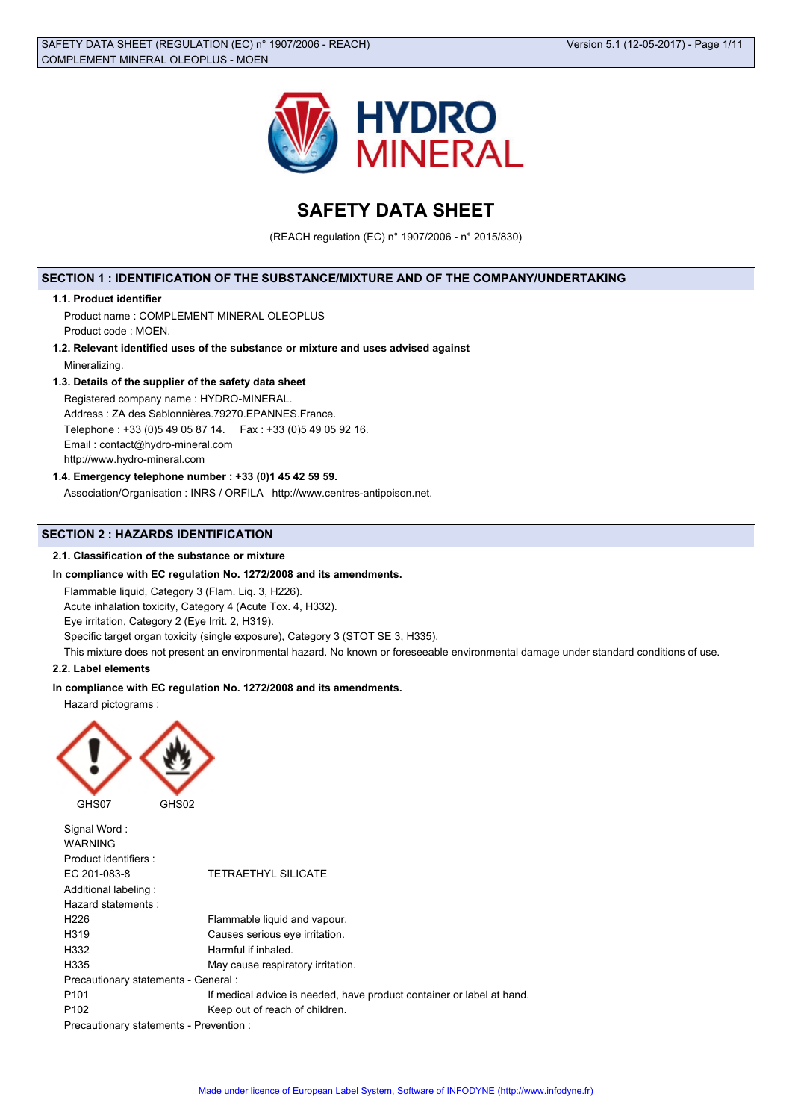

# **SAFETY DATA SHEET**

(REACH regulation (EC) n° 1907/2006 - n° 2015/830)

# **SECTION 1 : IDENTIFICATION OF THE SUBSTANCE/MIXTURE AND OF THE COMPANY/UNDERTAKING**

# **1.1. Product identifier**

Product name : COMPLEMENT MINERAL OLEOPLUS Product code : MOEN.

**1.2. Relevant identified uses of the substance or mixture and uses advised against** Mineralizing.

#### **1.3. Details of the supplier of the safety data sheet**

Registered company name : HYDRO-MINERAL.

Address : ZA des Sablonnières.79270.EPANNES.France.

Telephone : +33 (0)5 49 05 87 14. Fax : +33 (0)5 49 05 92 16.

Email : contact@hydro-mineral.com

http://www.hydro-mineral.com

# **1.4. Emergency telephone number : +33 (0)1 45 42 59 59.**

Association/Organisation : INRS / ORFILA http://www.centres-antipoison.net.

# **SECTION 2 : HAZARDS IDENTIFICATION**

# **2.1. Classification of the substance or mixture**

#### **In compliance with EC regulation No. 1272/2008 and its amendments.**

Flammable liquid, Category 3 (Flam. Liq. 3, H226).

Acute inhalation toxicity, Category 4 (Acute Tox. 4, H332).

Eye irritation, Category 2 (Eye Irrit. 2, H319).

Specific target organ toxicity (single exposure), Category 3 (STOT SE 3, H335).

This mixture does not present an environmental hazard. No known or foreseeable environmental damage under standard conditions of use.

#### **2.2. Label elements**

#### **In compliance with EC regulation No. 1272/2008 and its amendments.**

Hazard pictograms :



Signal Word : WARNING Product identifiers : EC 201-083-8 TETRAETHYL SILICATE Additional labeling : Hazard statements : H226 Flammable liquid and vapour. H319 Causes serious eye irritation. H332 Harmful if inhaled. H335 May cause respiratory irritation. Precautionary statements - General : P101 **If medical advice is needed, have product container or label at hand.** P102 Keep out of reach of children. Precautionary statements - Prevention :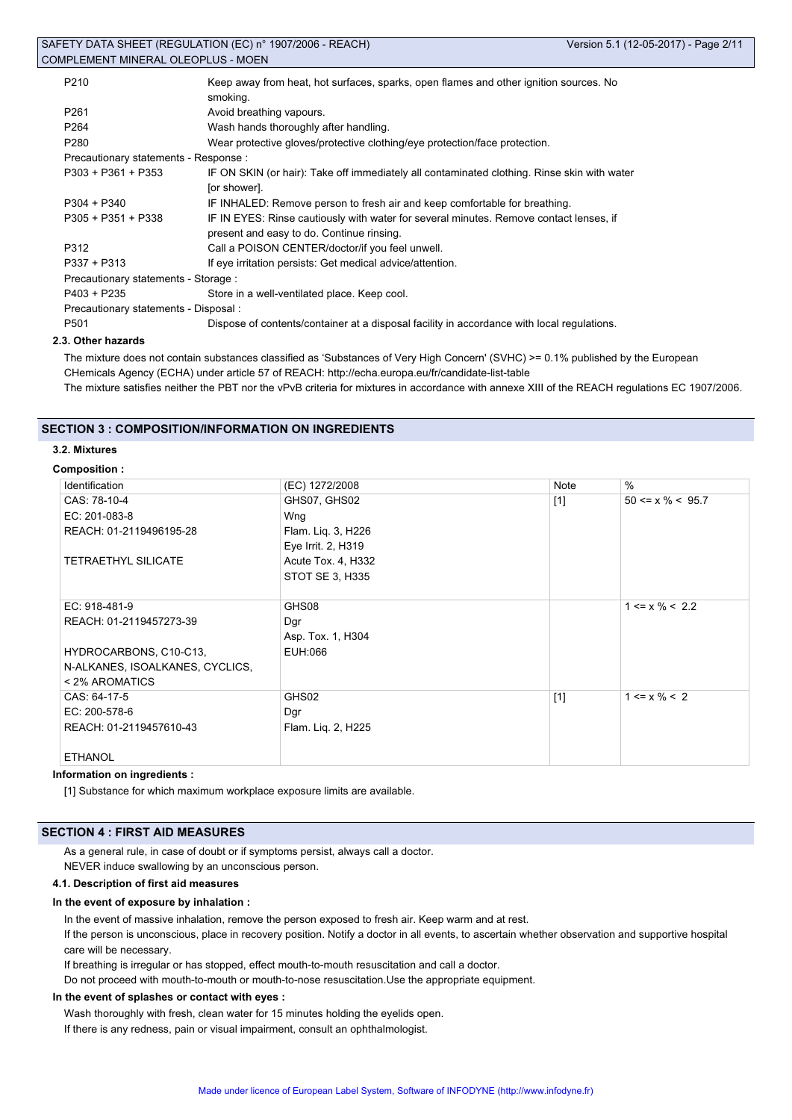| P <sub>210</sub>                      | Keep away from heat, hot surfaces, sparks, open flames and other ignition sources. No       |  |  |  |  |  |
|---------------------------------------|---------------------------------------------------------------------------------------------|--|--|--|--|--|
|                                       | smoking.                                                                                    |  |  |  |  |  |
| P <sub>261</sub>                      | Avoid breathing vapours.                                                                    |  |  |  |  |  |
| P <sub>264</sub>                      | Wash hands thoroughly after handling.                                                       |  |  |  |  |  |
| P <sub>280</sub>                      | Wear protective gloves/protective clothing/eye protection/face protection.                  |  |  |  |  |  |
| Precautionary statements - Response : |                                                                                             |  |  |  |  |  |
| $P303 + P361 + P353$                  | IF ON SKIN (or hair): Take off immediately all contaminated clothing. Rinse skin with water |  |  |  |  |  |
|                                       | [or shower].                                                                                |  |  |  |  |  |
| $P304 + P340$                         | IF INHALED: Remove person to fresh air and keep comfortable for breathing.                  |  |  |  |  |  |
| $P305 + P351 + P338$                  | IF IN EYES: Rinse cautiously with water for several minutes. Remove contact lenses, if      |  |  |  |  |  |
|                                       | present and easy to do. Continue rinsing.                                                   |  |  |  |  |  |
| P312                                  | Call a POISON CENTER/doctor/if you feel unwell.                                             |  |  |  |  |  |
| $P337 + P313$                         | If eye irritation persists: Get medical advice/attention.                                   |  |  |  |  |  |
| Precautionary statements - Storage :  |                                                                                             |  |  |  |  |  |
| P403 + P235                           | Store in a well-ventilated place. Keep cool.                                                |  |  |  |  |  |
| Precautionary statements - Disposal : |                                                                                             |  |  |  |  |  |
| P <sub>501</sub>                      | Dispose of contents/container at a disposal facility in accordance with local regulations.  |  |  |  |  |  |
|                                       |                                                                                             |  |  |  |  |  |

# **2.3. Other hazards**

The mixture does not contain substances classified as 'Substances of Very High Concern' (SVHC) >= 0.1% published by the European CHemicals Agency (ECHA) under article 57 of REACH: http://echa.europa.eu/fr/candidate-list-table The mixture satisfies neither the PBT nor the vPvB criteria for mixtures in accordance with annexe XIII of the REACH regulations EC 1907/2006.

# **SECTION 3 : COMPOSITION/INFORMATION ON INGREDIENTS**

#### **3.2. Mixtures**

#### **Composition :**

| Identification                  | (EC) 1272/2008     | Note  | $\frac{0}{0}$          |
|---------------------------------|--------------------|-------|------------------------|
| CAS: 78-10-4                    | GHS07, GHS02       | $[1]$ | $50 \le x \% \le 95.7$ |
| EC: 201-083-8                   | Wng                |       |                        |
| REACH: 01-2119496195-28         | Flam. Lig. 3, H226 |       |                        |
|                                 | Eye Irrit. 2, H319 |       |                        |
| <b>TETRAETHYL SILICATE</b>      | Acute Tox. 4, H332 |       |                        |
|                                 | STOT SE 3, H335    |       |                        |
|                                 |                    |       |                        |
| EC: 918-481-9                   | GHS08              |       | $1 \le x \% \le 2.2$   |
| REACH: 01-2119457273-39         | Dgr                |       |                        |
|                                 | Asp. Tox. 1, H304  |       |                        |
| HYDROCARBONS, C10-C13,          | EUH:066            |       |                        |
| N-ALKANES, ISOALKANES, CYCLICS, |                    |       |                        |
| < 2% AROMATICS                  |                    |       |                        |
| CAS: 64-17-5                    | GHS02              | $[1]$ | $1 \le x \% \le 2$     |
| EC: 200-578-6                   | Dgr                |       |                        |
| REACH: 01-2119457610-43         | Flam. Lig. 2, H225 |       |                        |
|                                 |                    |       |                        |
| <b>ETHANOL</b>                  |                    |       |                        |

#### **Information on ingredients :**

[1] Substance for which maximum workplace exposure limits are available.

# **SECTION 4 : FIRST AID MEASURES**

As a general rule, in case of doubt or if symptoms persist, always call a doctor. NEVER induce swallowing by an unconscious person.

#### **4.1. Description of first aid measures**

#### **In the event of exposure by inhalation :**

In the event of massive inhalation, remove the person exposed to fresh air. Keep warm and at rest.

If the person is unconscious, place in recovery position. Notify a doctor in all events, to ascertain whether observation and supportive hospital care will be necessary.

If breathing is irregular or has stopped, effect mouth-to-mouth resuscitation and call a doctor.

Do not proceed with mouth-to-mouth or mouth-to-nose resuscitation.Use the appropriate equipment.

#### **In the event of splashes or contact with eyes :**

Wash thoroughly with fresh, clean water for 15 minutes holding the eyelids open. If there is any redness, pain or visual impairment, consult an ophthalmologist.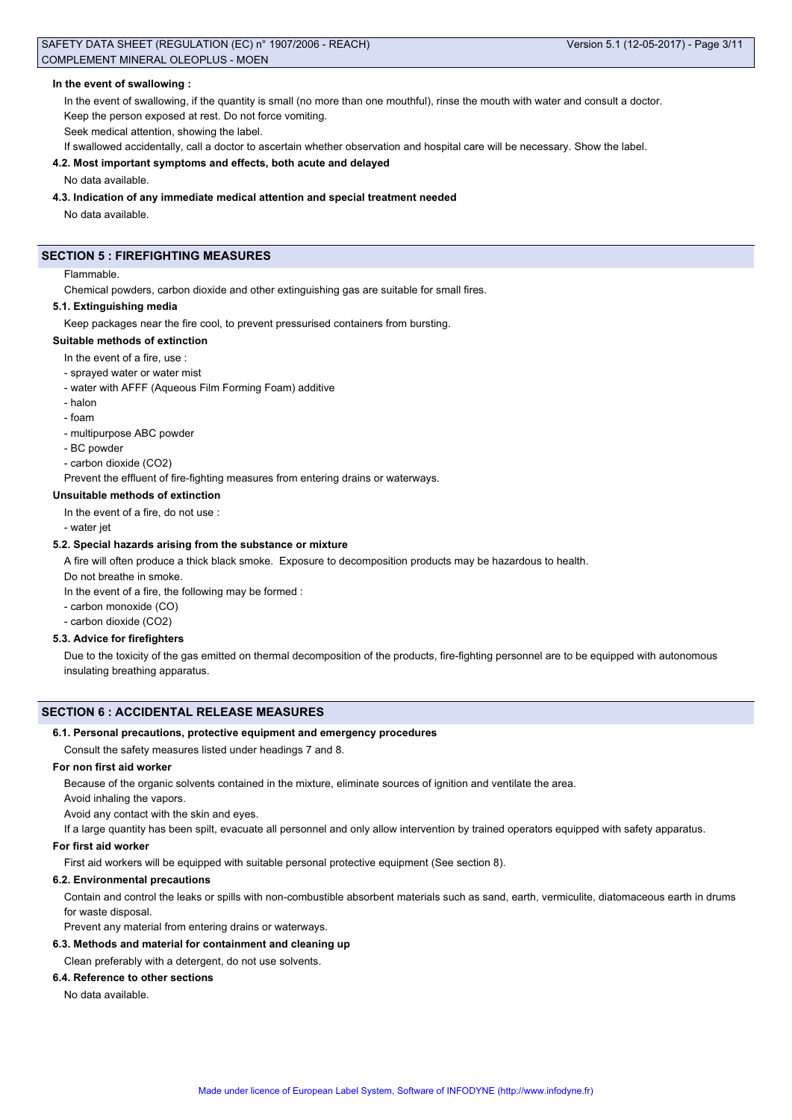#### **In the event of swallowing :**

In the event of swallowing, if the quantity is small (no more than one mouthful), rinse the mouth with water and consult a doctor. Keep the person exposed at rest. Do not force vomiting.

Seek medical attention, showing the label.

If swallowed accidentally, call a doctor to ascertain whether observation and hospital care will be necessary. Show the label.

#### **4.2. Most important symptoms and effects, both acute and delayed**

No data available.

# **4.3. Indication of any immediate medical attention and special treatment needed**

No data available.

# **SECTION 5 : FIREFIGHTING MEASURES**

#### Flammable.

Chemical powders, carbon dioxide and other extinguishing gas are suitable for small fires.

#### **5.1. Extinguishing media**

Keep packages near the fire cool, to prevent pressurised containers from bursting.

#### **Suitable methods of extinction**

In the event of a fire, use :

- sprayed water or water mist
- water with AFFF (Aqueous Film Forming Foam) additive
- halon
- foam
- multipurpose ABC powder
- BC powder
- carbon dioxide (CO2)

Prevent the effluent of fire-fighting measures from entering drains or waterways.

#### **Unsuitable methods of extinction**

In the event of a fire, do not use :

- water jet

#### **5.2. Special hazards arising from the substance or mixture**

A fire will often produce a thick black smoke. Exposure to decomposition products may be hazardous to health.

Do not breathe in smoke.

In the event of a fire, the following may be formed :

- carbon monoxide (CO)

- carbon dioxide (CO2)

#### **5.3. Advice for firefighters**

Due to the toxicity of the gas emitted on thermal decomposition of the products, fire-fighting personnel are to be equipped with autonomous insulating breathing apparatus.

#### **SECTION 6 : ACCIDENTAL RELEASE MEASURES**

#### **6.1. Personal precautions, protective equipment and emergency procedures**

Consult the safety measures listed under headings 7 and 8.

# **For non first aid worker**

Because of the organic solvents contained in the mixture, eliminate sources of ignition and ventilate the area.

Avoid inhaling the vapors.

Avoid any contact with the skin and eyes.

If a large quantity has been spilt, evacuate all personnel and only allow intervention by trained operators equipped with safety apparatus.

#### **For first aid worker**

First aid workers will be equipped with suitable personal protective equipment (See section 8).

#### **6.2. Environmental precautions**

Contain and control the leaks or spills with non-combustible absorbent materials such as sand, earth, vermiculite, diatomaceous earth in drums for waste disposal.

Prevent any material from entering drains or waterways.

# **6.3. Methods and material for containment and cleaning up**

Clean preferably with a detergent, do not use solvents.

#### **6.4. Reference to other sections**

No data available.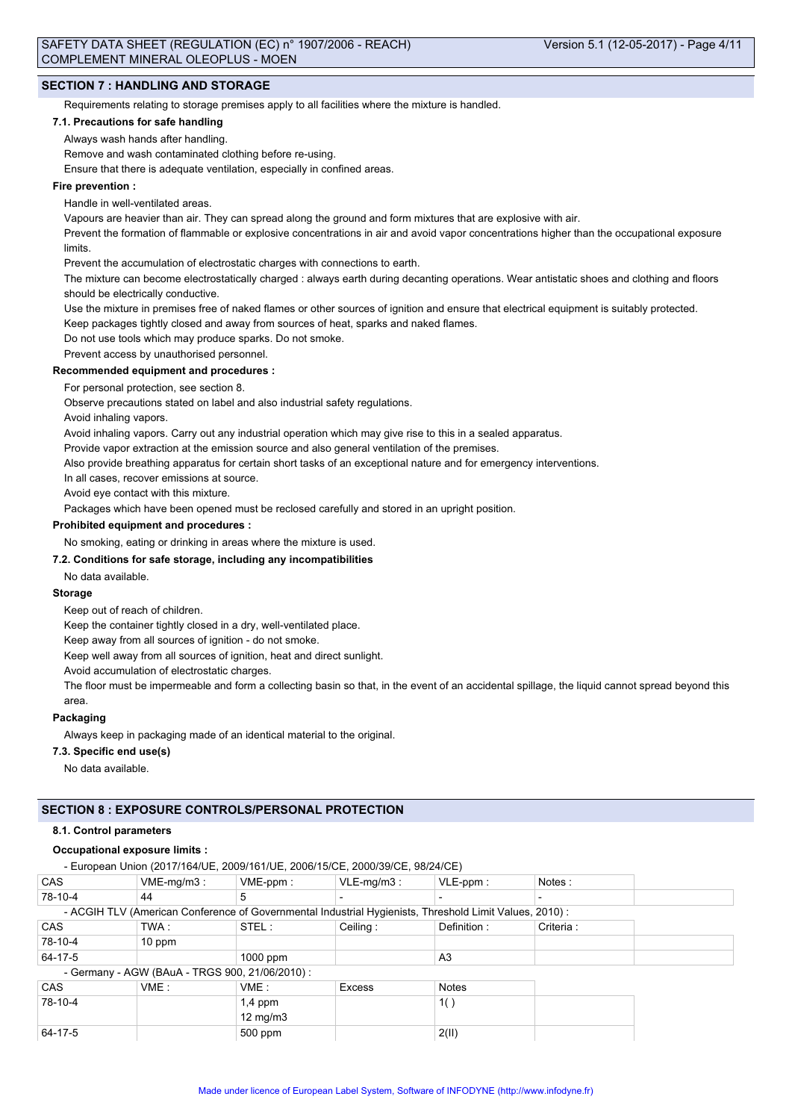## **SECTION 7 : HANDLING AND STORAGE**

Requirements relating to storage premises apply to all facilities where the mixture is handled.

#### **7.1. Precautions for safe handling**

Always wash hands after handling.

Remove and wash contaminated clothing before re-using.

Ensure that there is adequate ventilation, especially in confined areas.

#### **Fire prevention :**

Handle in well-ventilated areas.

Vapours are heavier than air. They can spread along the ground and form mixtures that are explosive with air.

Prevent the formation of flammable or explosive concentrations in air and avoid vapor concentrations higher than the occupational exposure limits.

Prevent the accumulation of electrostatic charges with connections to earth.

The mixture can become electrostatically charged : always earth during decanting operations. Wear antistatic shoes and clothing and floors should be electrically conductive.

Use the mixture in premises free of naked flames or other sources of ignition and ensure that electrical equipment is suitably protected.

Keep packages tightly closed and away from sources of heat, sparks and naked flames.

Do not use tools which may produce sparks. Do not smoke.

Prevent access by unauthorised personnel.

**Recommended equipment and procedures :**

For personal protection, see section 8.

Observe precautions stated on label and also industrial safety regulations.

Avoid inhaling vapors.

Avoid inhaling vapors. Carry out any industrial operation which may give rise to this in a sealed apparatus.

Provide vapor extraction at the emission source and also general ventilation of the premises.

Also provide breathing apparatus for certain short tasks of an exceptional nature and for emergency interventions.

In all cases, recover emissions at source.

Avoid eye contact with this mixture.

Packages which have been opened must be reclosed carefully and stored in an upright position.

#### **Prohibited equipment and procedures :**

No smoking, eating or drinking in areas where the mixture is used.

#### **7.2. Conditions for safe storage, including any incompatibilities**

No data available.

#### **Storage**

Keep out of reach of children.

Keep the container tightly closed in a dry, well-ventilated place.

Keep away from all sources of ignition - do not smoke.

Keep well away from all sources of ignition, heat and direct sunlight.

Avoid accumulation of electrostatic charges.

The floor must be impermeable and form a collecting basin so that, in the event of an accidental spillage, the liquid cannot spread beyond this area.

#### **Packaging**

Always keep in packaging made of an identical material to the original.

#### **7.3. Specific end use(s)**

No data available.

#### **SECTION 8 : EXPOSURE CONTROLS/PERSONAL PROTECTION**

#### **8.1. Control parameters**

#### **Occupational exposure limits :**

- European Union (2017/164/UE, 2009/161/UE, 2006/15/CE, 2000/39/CE, 98/24/CE)

| <b>CAS</b>                                      | $VME-mg/m3$ : | $VME-ppm$ :                                                                                            | $VLE$ -mg/m $3:$ | $VLE-ppm$ :  | Notes:    |
|-------------------------------------------------|---------------|--------------------------------------------------------------------------------------------------------|------------------|--------------|-----------|
| 78-10-4                                         | 44            | 5                                                                                                      |                  |              |           |
|                                                 |               | - ACGIH TLV (American Conference of Governmental Industrial Hygienists, Threshold Limit Values, 2010): |                  |              |           |
| <b>CAS</b>                                      | TWA :         | STEL:                                                                                                  | Ceiling:         | Definition:  | Criteria: |
| 78-10-4                                         | $10$ ppm      |                                                                                                        |                  |              |           |
| 64-17-5                                         |               | $1000$ ppm                                                                                             |                  | A3           |           |
| - Germany - AGW (BAuA - TRGS 900, 21/06/2010) : |               |                                                                                                        |                  |              |           |
| <b>CAS</b>                                      | VME:          | VME:                                                                                                   | Excess           | <b>Notes</b> |           |
| 78-10-4                                         |               | $1,4$ ppm                                                                                              |                  | 1()          |           |
|                                                 |               | $12 \text{ mg/m}$                                                                                      |                  |              |           |
| 64-17-5                                         |               | 500 ppm                                                                                                |                  | 2(11)        |           |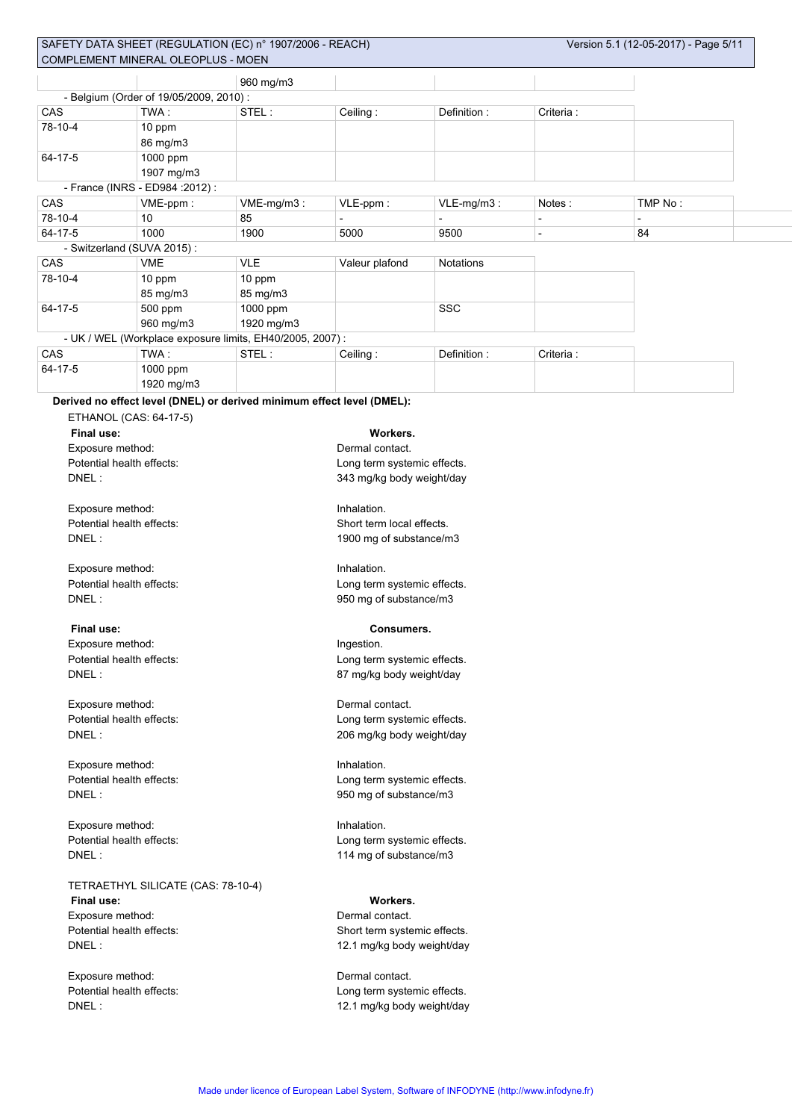|                                                           |                                        | 960 mg/m3                                                              |                             |                        |                |                          |  |  |
|-----------------------------------------------------------|----------------------------------------|------------------------------------------------------------------------|-----------------------------|------------------------|----------------|--------------------------|--|--|
|                                                           | - Belgium (Order of 19/05/2009, 2010): |                                                                        |                             |                        |                |                          |  |  |
| CAS                                                       | TWA:                                   | STEL:                                                                  | Ceiling:                    | Definition:            | Criteria:      |                          |  |  |
| 78-10-4                                                   | 10 ppm                                 |                                                                        |                             |                        |                |                          |  |  |
|                                                           | 86 mg/m3                               |                                                                        |                             |                        |                |                          |  |  |
| 64-17-5                                                   | 1000 ppm                               |                                                                        |                             |                        |                |                          |  |  |
|                                                           | 1907 mg/m3                             |                                                                        |                             |                        |                |                          |  |  |
|                                                           | - France (INRS - ED984 : 2012) :       |                                                                        |                             |                        |                |                          |  |  |
| CAS                                                       | VME-ppm:                               | VME-mg/m3:                                                             | VLE-ppm:                    | VLE-mg/m3:             | Notes:         | TMP No:                  |  |  |
| 78-10-4                                                   | 10                                     | 85                                                                     |                             |                        | $\blacksquare$ | $\overline{\phantom{a}}$ |  |  |
| 64-17-5                                                   | 1000                                   | 1900                                                                   | 5000                        | 9500                   | $\blacksquare$ | 84                       |  |  |
|                                                           | - Switzerland (SUVA 2015):             |                                                                        |                             |                        |                |                          |  |  |
| CAS                                                       | <b>VME</b>                             | <b>VLE</b>                                                             | Valeur plafond              | <b>Notations</b>       |                |                          |  |  |
| 78-10-4                                                   | 10 ppm                                 | 10 ppm                                                                 |                             |                        |                |                          |  |  |
|                                                           | 85 mg/m3                               | 85 mg/m3                                                               |                             |                        |                |                          |  |  |
| 64-17-5                                                   | 500 ppm                                | 1000 ppm                                                               |                             | SSC                    |                |                          |  |  |
|                                                           | 960 mg/m3                              | 1920 mg/m3                                                             |                             |                        |                |                          |  |  |
| - UK / WEL (Workplace exposure limits, EH40/2005, 2007) : |                                        |                                                                        |                             |                        |                |                          |  |  |
| CAS                                                       | TWA:                                   | STEL:                                                                  | Ceiling:                    | Definition:            | Criteria:      |                          |  |  |
| 64-17-5                                                   | 1000 ppm                               |                                                                        |                             |                        |                |                          |  |  |
|                                                           | 1920 mg/m3                             |                                                                        |                             |                        |                |                          |  |  |
|                                                           |                                        | Derived no effect level (DNEL) or derived minimum effect level (DMEL): |                             |                        |                |                          |  |  |
|                                                           | ETHANOL (CAS: 64-17-5)                 |                                                                        |                             |                        |                |                          |  |  |
| Final use:                                                |                                        |                                                                        | Workers.                    |                        |                |                          |  |  |
| Exposure method:                                          |                                        |                                                                        | Dermal contact.             |                        |                |                          |  |  |
| Potential health effects:                                 | Long term systemic effects.            |                                                                        |                             |                        |                |                          |  |  |
| DNEL:                                                     |                                        |                                                                        | 343 mg/kg body weight/day   |                        |                |                          |  |  |
|                                                           |                                        |                                                                        |                             |                        |                |                          |  |  |
| Exposure method:                                          |                                        |                                                                        | Inhalation.                 |                        |                |                          |  |  |
| Potential health effects:                                 |                                        |                                                                        | Short term local effects.   |                        |                |                          |  |  |
| DNEL:                                                     |                                        |                                                                        | 1900 mg of substance/m3     |                        |                |                          |  |  |
|                                                           |                                        |                                                                        |                             |                        |                |                          |  |  |
| Exposure method:                                          |                                        |                                                                        | Inhalation.                 |                        |                |                          |  |  |
|                                                           | Potential health effects:              |                                                                        | Long term systemic effects. |                        |                |                          |  |  |
| DNEL:                                                     |                                        |                                                                        |                             | 950 mg of substance/m3 |                |                          |  |  |

#### **Final use: Consumers.**

Exposure method: **Ingestion** Potential health effects: Long term systemic effects. DNEL : 2000 2000 2000 2000 2000 2000 2000 37 mg/kg body weight/day

Exposure method: **Dermal contact.** 

Exposure method: Inhalation. DNEL : 950 mg of substance/m3

Exposure method: Inhalation. DNEL : 114 mg of substance/m3

# TETRAETHYL SILICATE (CAS: 78-10-4)

**Final use: Workers.** Exposure method: **Dermal contact.** 

Exposure method: Dermal contact.

# Potential health effects: Long term systemic effects. DNEL : 206 mg/kg body weight/day

Potential health effects: Long term systemic effects.

Potential health effects: <br>
Hong term systemic effects.

Potential health effects: Short term systemic effects. DNEL : 12.1 mg/kg body weight/day

Potential health effects:  $\qquad \qquad$  Long term systemic effects. DNEL : 12.1 mg/kg body weight/day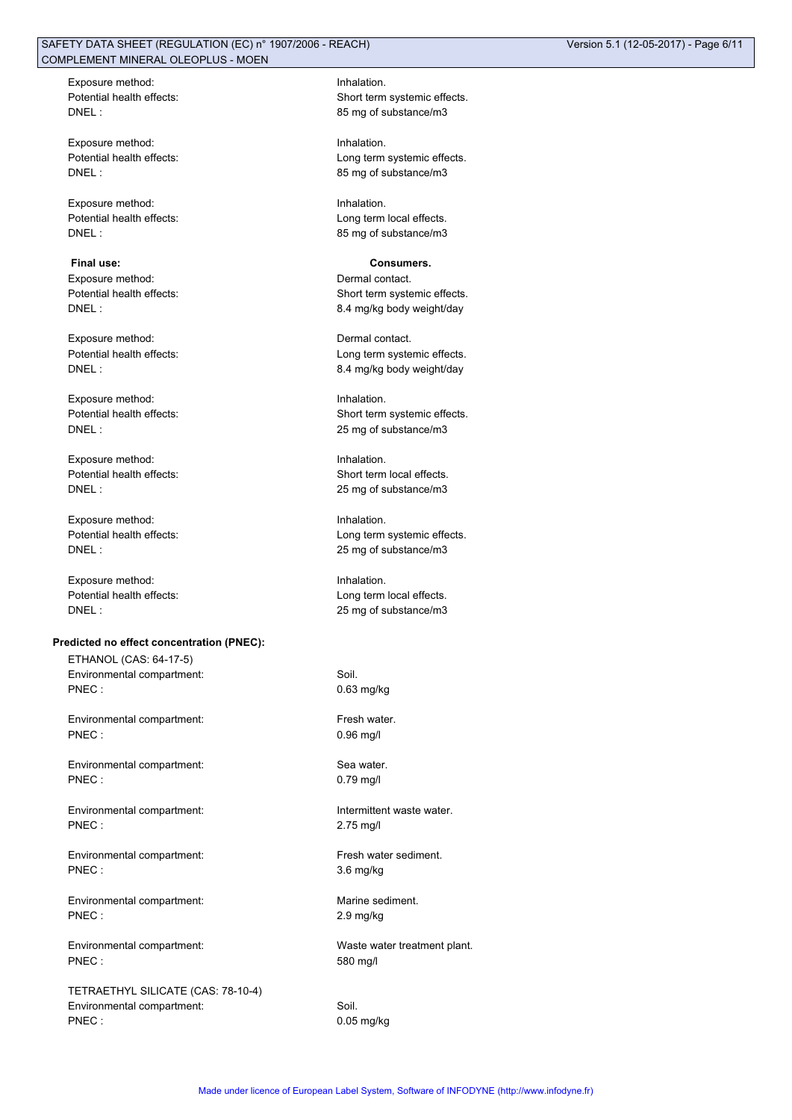Exposure method: **Inhalation** 

Exposure method: Inhalation.

Exposure method: Inhalation. Potential health effects: Long term local effects. DNEL : 85 mg of substance/m3

**Final use: Consumers.** Exposure method:  $\blacksquare$ 

Exposure method: Dermal contact.

Exposure method: Inhalation.

Exposure method: Inhalation.

Exposure method: Inhalation.

Exposure method: Inhalation.

#### **Predicted no effect concentration (PNEC):**

ETHANOL (CAS: 64-17-5) Environmental compartment: Soil. PNEC : 0.63 mg/kg

Environmental compartment: Fresh water. PNEC : 0.96 mg/l

Environmental compartment: Sea water. PNEC : 0.79 mg/l

Environmental compartment: Intermittent waste water. PNEC : 2.75 mg/l

Environmental compartment: Fresh water sediment. PNEC : 3.6 mg/kg

Environmental compartment: Marine sediment. PNEC : 2.9 mg/kg

Environmental compartment: Waste water treatment plant. PNEC : 580 mg/l

TETRAETHYL SILICATE (CAS: 78-10-4) Environmental compartment: Soil. PNEC : 0.05 mg/kg

Potential health effects: Short term systemic effects. DNEL : 85 mg of substance/m3

Potential health effects:  $\qquad \qquad$  Long term systemic effects. DNEL : 85 mg of substance/m3

Potential health effects: Short term systemic effects. DNEL : 2000 2010 2010 2010 2010 3.4 mg/kg body weight/day

Potential health effects: Long term systemic effects. DNEL : 8.4 mg/kg body weight/day

Potential health effects: Short term systemic effects. DNEL : 25 mg of substance/m3

Potential health effects: Short term local effects. DNEL : 25 mg of substance/m3

Potential health effects: <br>
Long term systemic effects. DNEL : 25 mg of substance/m3

Potential health effects: Long term local effects. DNEL : 25 mg of substance/m3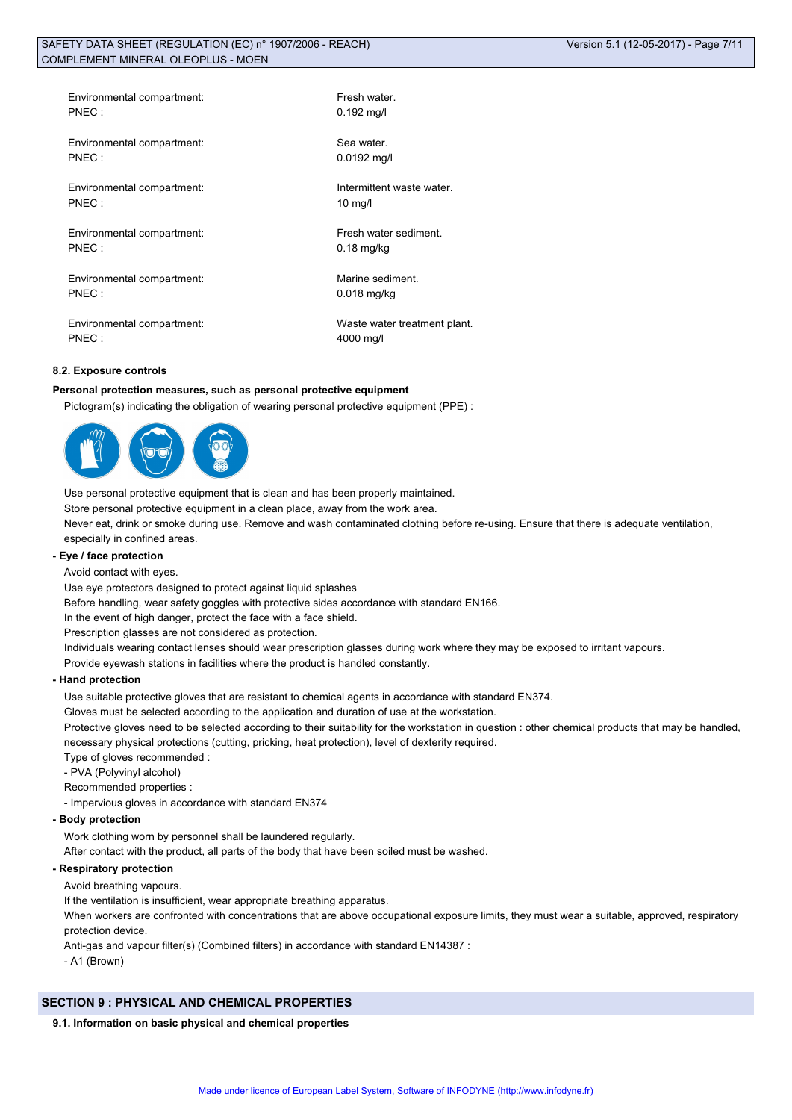| Environmental compartment: | Fresh water.                 |
|----------------------------|------------------------------|
| $PNEC$ :                   | $0.192$ mg/l                 |
| Environmental compartment: | Sea water.                   |
| PNEC:                      | $0.0192$ mg/l                |
| Environmental compartment: | Intermittent waste water.    |
| PNEC:                      | $10 \text{ mg/l}$            |
| Environmental compartment: | Fresh water sediment.        |
| PNEC:                      | $0.18$ mg/kg                 |
| Environmental compartment: | Marine sediment.             |
| PNEC:                      | $0.018$ mg/kg                |
| Environmental compartment: | Waste water treatment plant. |
| PNFC:                      | 4000 mg/l                    |

# **8.2. Exposure controls**

#### **Personal protection measures, such as personal protective equipment**

Pictogram(s) indicating the obligation of wearing personal protective equipment (PPE) :



Use personal protective equipment that is clean and has been properly maintained. Store personal protective equipment in a clean place, away from the work area.

Never eat, drink or smoke during use. Remove and wash contaminated clothing before re-using. Ensure that there is adequate ventilation, especially in confined areas.

# **- Eye / face protection**

Avoid contact with eyes.

Use eye protectors designed to protect against liquid splashes

Before handling, wear safety goggles with protective sides accordance with standard EN166.

In the event of high danger, protect the face with a face shield.

Prescription glasses are not considered as protection.

Individuals wearing contact lenses should wear prescription glasses during work where they may be exposed to irritant vapours.

Provide eyewash stations in facilities where the product is handled constantly.

#### **- Hand protection**

Use suitable protective gloves that are resistant to chemical agents in accordance with standard EN374.

Gloves must be selected according to the application and duration of use at the workstation.

Protective gloves need to be selected according to their suitability for the workstation in question : other chemical products that may be handled, necessary physical protections (cutting, pricking, heat protection), level of dexterity required.

Type of gloves recommended :

- PVA (Polyvinyl alcohol)

Recommended properties :

- Impervious gloves in accordance with standard EN374

#### **- Body protection**

Work clothing worn by personnel shall be laundered regularly.

After contact with the product, all parts of the body that have been soiled must be washed.

# **- Respiratory protection**

Avoid breathing vapours.

If the ventilation is insufficient, wear appropriate breathing apparatus.

When workers are confronted with concentrations that are above occupational exposure limits, they must wear a suitable, approved, respiratory protection device.

Anti-gas and vapour filter(s) (Combined filters) in accordance with standard EN14387 :

- A1 (Brown)

#### **SECTION 9 : PHYSICAL AND CHEMICAL PROPERTIES**

#### **9.1. Information on basic physical and chemical properties**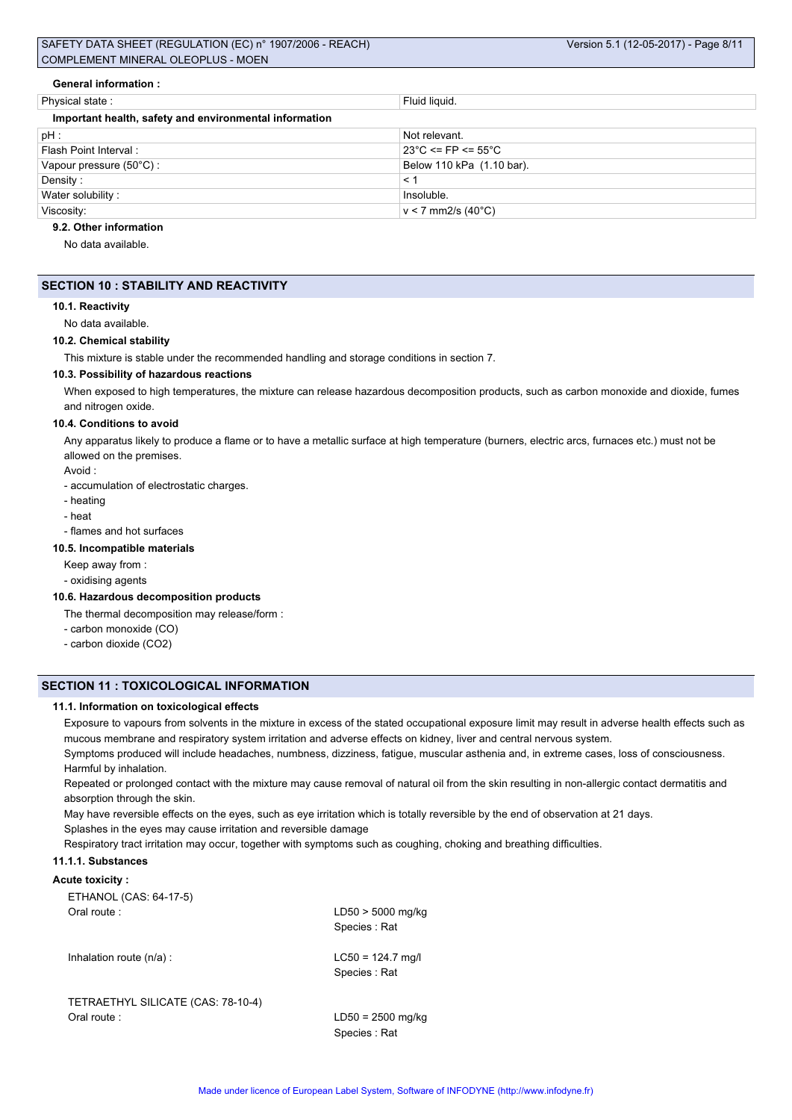| <b>General information:</b>                            |                                         |
|--------------------------------------------------------|-----------------------------------------|
| Physical state:                                        | Fluid liquid.                           |
| Important health, safety and environmental information |                                         |
| pH :                                                   | Not relevant.                           |
| Flash Point Interval:                                  | $23^{\circ}$ C <= FP <= 55 $^{\circ}$ C |
| Vapour pressure (50°C):                                | Below 110 kPa (1.10 bar).               |
| Density:                                               | < 1                                     |
| Water solubility:                                      | Insoluble.                              |
| Viscosity:                                             | $v < 7$ mm2/s (40°C)                    |

#### **9.2. Other information**

No data available.

# **SECTION 10 : STABILITY AND REACTIVITY**

# **10.1. Reactivity**

No data available.

#### **10.2. Chemical stability**

This mixture is stable under the recommended handling and storage conditions in section 7.

#### **10.3. Possibility of hazardous reactions**

When exposed to high temperatures, the mixture can release hazardous decomposition products, such as carbon monoxide and dioxide, fumes and nitrogen oxide.

#### **10.4. Conditions to avoid**

Any apparatus likely to produce a flame or to have a metallic surface at high temperature (burners, electric arcs, furnaces etc.) must not be allowed on the premises.

Avoid :

- accumulation of electrostatic charges.
- heating
- heat
- flames and hot surfaces

#### **10.5. Incompatible materials**

Keep away from :

- oxidising agents

#### **10.6. Hazardous decomposition products**

- The thermal decomposition may release/form :
- carbon monoxide (CO)
- carbon dioxide (CO2)

# **SECTION 11 : TOXICOLOGICAL INFORMATION**

### **11.1. Information on toxicological effects**

Exposure to vapours from solvents in the mixture in excess of the stated occupational exposure limit may result in adverse health effects such as mucous membrane and respiratory system irritation and adverse effects on kidney, liver and central nervous system.

Symptoms produced will include headaches, numbness, dizziness, fatigue, muscular asthenia and, in extreme cases, loss of consciousness. Harmful by inhalation.

Repeated or prolonged contact with the mixture may cause removal of natural oil from the skin resulting in non-allergic contact dermatitis and absorption through the skin.

May have reversible effects on the eyes, such as eye irritation which is totally reversible by the end of observation at 21 days. Splashes in the eyes may cause irritation and reversible damage

Respiratory tract irritation may occur, together with symptoms such as coughing, choking and breathing difficulties.

# **11.1.1. Substances**

#### **Acute toxicity :**

| ETHANOL (CAS: 64-17-5)             |                                     |
|------------------------------------|-------------------------------------|
| Oral route:                        | $LD50 > 5000$ mg/kg<br>Species: Rat |
| Inhalation route $(n/a)$ :         | $LC50 = 124.7$ mg/l<br>Species: Rat |
| TETRAETHYL SILICATE (CAS: 78-10-4) |                                     |
| Oral route:                        | $LD50 = 2500$ mg/kg                 |
|                                    | Species: Rat                        |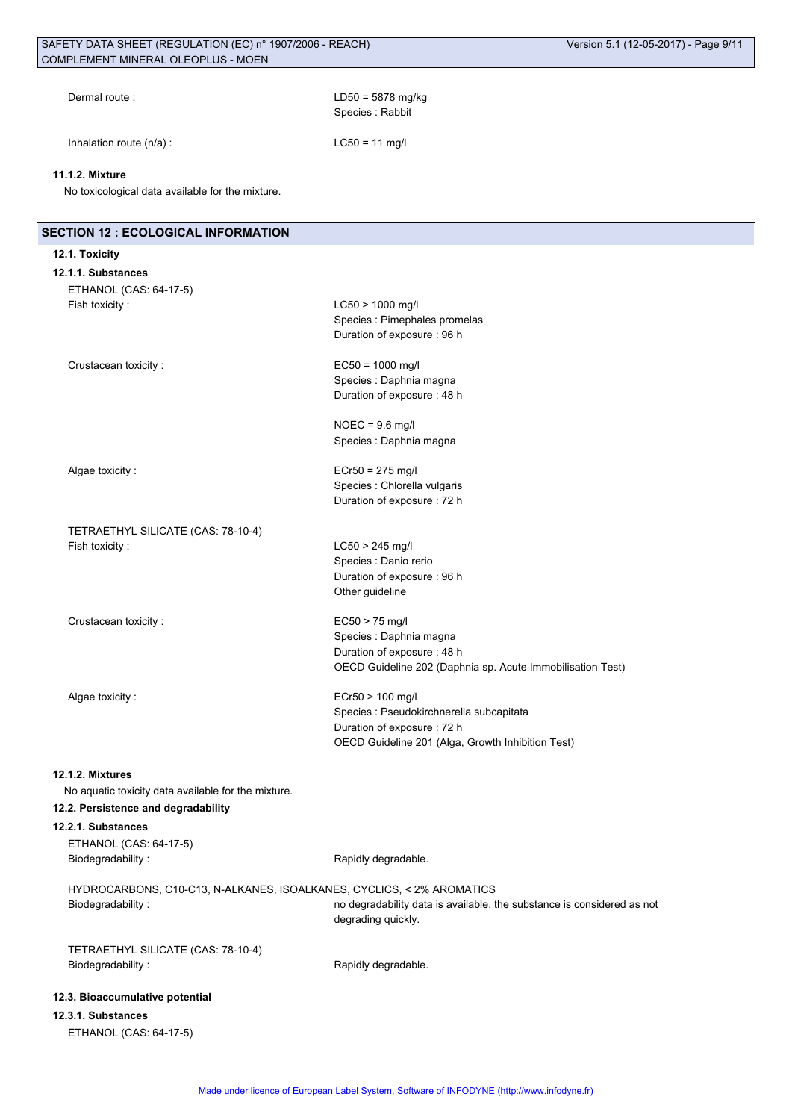| Dermal route: |  |
|---------------|--|
|---------------|--|

Inhalation route  $(n/a)$  : LC50 = 11 mg/l

 $LD50 = 5878$  mg/kg Species : Rabbit

# **11.1.2. Mixture**

No toxicological data available for the mixture.

| <b>SECTION 12 : ECOLOGICAL INFORMATION</b>                            |                                                                        |
|-----------------------------------------------------------------------|------------------------------------------------------------------------|
| 12.1. Toxicity                                                        |                                                                        |
| 12.1.1. Substances                                                    |                                                                        |
| ETHANOL (CAS: 64-17-5)                                                |                                                                        |
| Fish toxicity:                                                        | LC50 > 1000 mg/l                                                       |
|                                                                       | Species : Pimephales promelas<br>Duration of exposure : 96 h           |
|                                                                       |                                                                        |
| Crustacean toxicity:                                                  | $EC50 = 1000$ mg/l                                                     |
|                                                                       | Species : Daphnia magna                                                |
|                                                                       | Duration of exposure : 48 h                                            |
|                                                                       | $NOEC = 9.6$ mg/l                                                      |
|                                                                       | Species : Daphnia magna                                                |
|                                                                       |                                                                        |
| Algae toxicity:                                                       | $ECr50 = 275$ mg/l                                                     |
|                                                                       | Species : Chlorella vulgaris                                           |
|                                                                       | Duration of exposure : 72 h                                            |
| TETRAETHYL SILICATE (CAS: 78-10-4)                                    |                                                                        |
| Fish toxicity:                                                        | $LC50 > 245$ mg/l                                                      |
|                                                                       | Species : Danio rerio                                                  |
|                                                                       | Duration of exposure : 96 h                                            |
|                                                                       | Other guideline                                                        |
| Crustacean toxicity:                                                  | $EC50 > 75$ mg/l                                                       |
|                                                                       | Species : Daphnia magna                                                |
|                                                                       | Duration of exposure : 48 h                                            |
|                                                                       | OECD Guideline 202 (Daphnia sp. Acute Immobilisation Test)             |
| Algae toxicity:                                                       | ECr50 > 100 mg/l                                                       |
|                                                                       | Species : Pseudokirchnerella subcapitata                               |
|                                                                       | Duration of exposure : 72 h                                            |
|                                                                       | OECD Guideline 201 (Alga, Growth Inhibition Test)                      |
| 12.1.2. Mixtures                                                      |                                                                        |
| No aquatic toxicity data available for the mixture.                   |                                                                        |
| 12.2. Persistence and degradability                                   |                                                                        |
| 12.2.1. Substances                                                    |                                                                        |
| ETHANOL (CAS: 64-17-5)                                                |                                                                        |
| Biodegradability:                                                     | Rapidly degradable.                                                    |
| HYDROCARBONS, C10-C13, N-ALKANES, ISOALKANES, CYCLICS, < 2% AROMATICS |                                                                        |
| Biodegradability:                                                     | no degradability data is available, the substance is considered as not |
|                                                                       | degrading quickly.                                                     |
| TETRAETHYL SILICATE (CAS: 78-10-4)                                    |                                                                        |
| Biodegradability:                                                     | Rapidly degradable.                                                    |
|                                                                       |                                                                        |
| 12.3. Bioaccumulative potential                                       |                                                                        |
| 12.3.1. Substances<br>ETHANOL (CAS: 64-17-5)                          |                                                                        |
|                                                                       |                                                                        |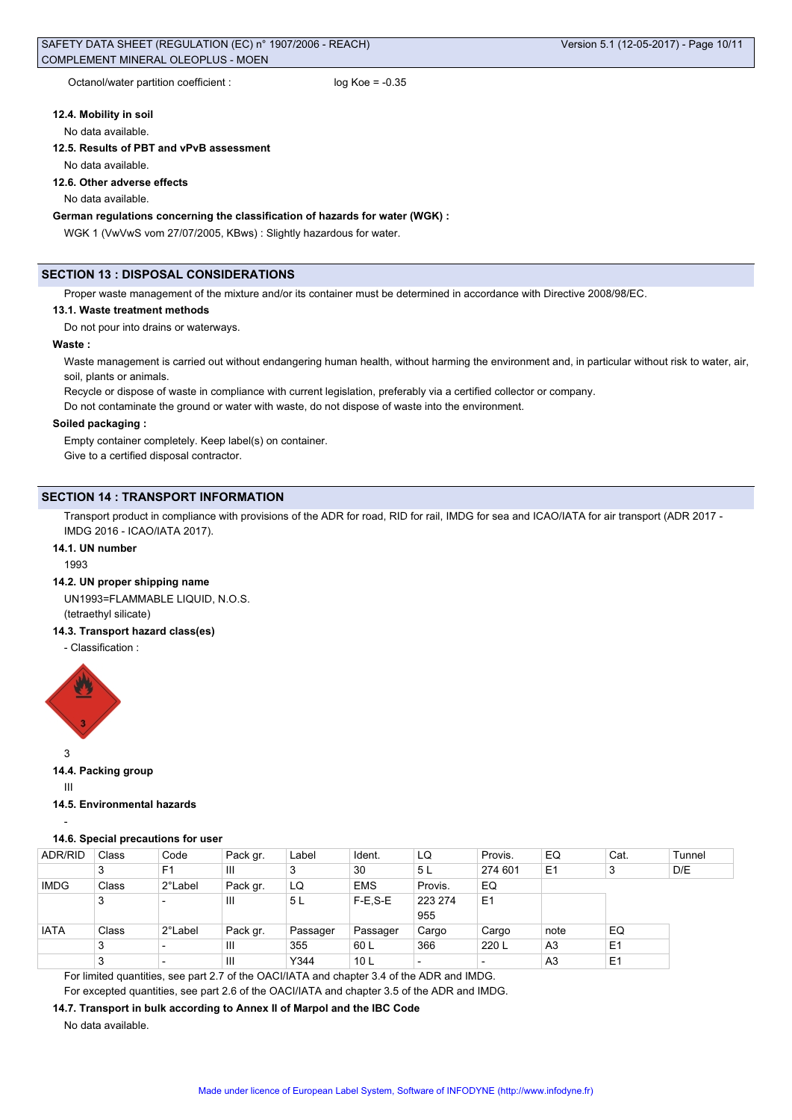# **12.4. Mobility in soil**

#### No data available.

#### **12.5. Results of PBT and vPvB assessment**

No data available.

#### **12.6. Other adverse effects**

No data available.

# **German regulations concerning the classification of hazards for water (WGK) :**

WGK 1 (VwVwS vom 27/07/2005, KBws) : Slightly hazardous for water.

#### **SECTION 13 : DISPOSAL CONSIDERATIONS**

Proper waste management of the mixture and/or its container must be determined in accordance with Directive 2008/98/EC.

#### **13.1. Waste treatment methods**

Do not pour into drains or waterways.

# **Waste :**

Waste management is carried out without endangering human health, without harming the environment and, in particular without risk to water, air, soil, plants or animals.

Recycle or dispose of waste in compliance with current legislation, preferably via a certified collector or company.

Do not contaminate the ground or water with waste, do not dispose of waste into the environment.

#### **Soiled packaging :**

Empty container completely. Keep label(s) on container. Give to a certified disposal contractor.

#### **SECTION 14 : TRANSPORT INFORMATION**

Transport product in compliance with provisions of the ADR for road, RID for rail, IMDG for sea and ICAO/IATA for air transport (ADR 2017 - IMDG 2016 - ICAO/IATA 2017).

#### **14.1. UN number**

1993

#### **14.2. UN proper shipping name**

UN1993=FLAMMABLE LIQUID, N.O.S. (tetraethyl silicate)

#### **14.3. Transport hazard class(es)**

- Classification :



3

**14.4. Packing group**

III

-

**14.5. Environmental hazards**

#### **14.6. Special precautions for user**

| ADR/RID     | Class  | Code           | Pack gr. | Label    | Ident.          | LQ      | Provis.        | EQ             | Cat.           | Tunnel |
|-------------|--------|----------------|----------|----------|-----------------|---------|----------------|----------------|----------------|--------|
|             | ົ<br>J | F <sub>1</sub> | Ш        | 3        | 30              | 5L      | 274 601        | E1             | 3              | D/E    |
| <b>IMDG</b> | Class  | 2°Label        | Pack gr. | LQ       | <b>EMS</b>      | Provis. | EQ             |                |                |        |
|             | 3      | -              | Ш        | 5 L      | $F-E.S-E$       | 223 274 | E <sub>1</sub> |                |                |        |
|             |        |                |          |          |                 | 955     |                |                |                |        |
| <b>IATA</b> | Class  | 2°Label        | Pack gr. | Passager | Passager        | Cargo   | Cargo          | note           | EQ             |        |
|             | 3      |                | Ш        | 355      | 60 L            | 366     | 220 L          | A <sub>3</sub> | E1             |        |
|             | 3      |                | Ш        | Y344     | 10 <sub>L</sub> |         |                | A <sub>3</sub> | E <sub>1</sub> |        |

For limited quantities, see part 2.7 of the OACI/IATA and chapter 3.4 of the ADR and IMDG.

For excepted quantities, see part 2.6 of the OACI/IATA and chapter 3.5 of the ADR and IMDG.

# **14.7. Transport in bulk according to Annex II of Marpol and the IBC Code**

No data available.